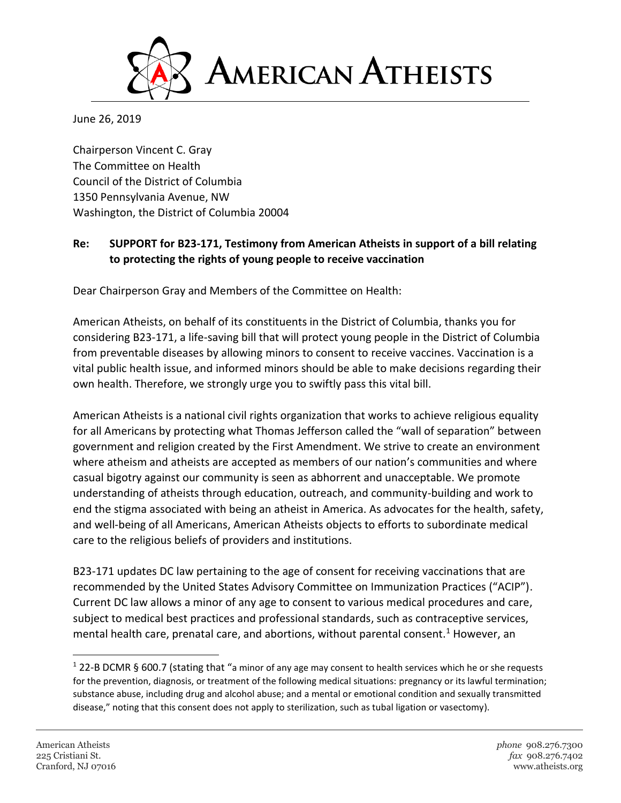

June 26, 2019

Chairperson Vincent C. Gray The Committee on Health Council of the District of Columbia 1350 Pennsylvania Avenue, NW Washington, the District of Columbia 20004

## **Re: SUPPORT for B23-171, Testimony from American Atheists in support of a bill relating to protecting the rights of young people to receive vaccination**

Dear Chairperson Gray and Members of the Committee on Health:

American Atheists, on behalf of its constituents in the District of Columbia, thanks you for considering B23-171, a life-saving bill that will protect young people in the District of Columbia from preventable diseases by allowing minors to consent to receive vaccines. Vaccination is a vital public health issue, and informed minors should be able to make decisions regarding their own health. Therefore, we strongly urge you to swiftly pass this vital bill.

American Atheists is a national civil rights organization that works to achieve religious equality for all Americans by protecting what Thomas Jefferson called the "wall of separation" between government and religion created by the First Amendment. We strive to create an environment where atheism and atheists are accepted as members of our nation's communities and where casual bigotry against our community is seen as abhorrent and unacceptable. We promote understanding of atheists through education, outreach, and community-building and work to end the stigma associated with being an atheist in America. As advocates for the health, safety, and well-being of all Americans, American Atheists objects to efforts to subordinate medical care to the religious beliefs of providers and institutions.

B23-171 updates DC law pertaining to the age of consent for receiving vaccinations that are recommended by the United States Advisory Committee on Immunization Practices ("ACIP"). Current DC law allows a minor of any age to consent to various medical procedures and care, subject to medical best practices and professional standards, such as contraceptive services, mental health care, prenatal care, and abortions, without parental consent.<sup>1</sup> However, an

l

 $1$  22-B DCMR § 600.7 (stating that "a minor of any age may consent to health services which he or she requests for the prevention, diagnosis, or treatment of the following medical situations: pregnancy or its lawful termination; substance abuse, including drug and alcohol abuse; and a mental or emotional condition and sexually transmitted disease," noting that this consent does not apply to sterilization, such as tubal ligation or vasectomy).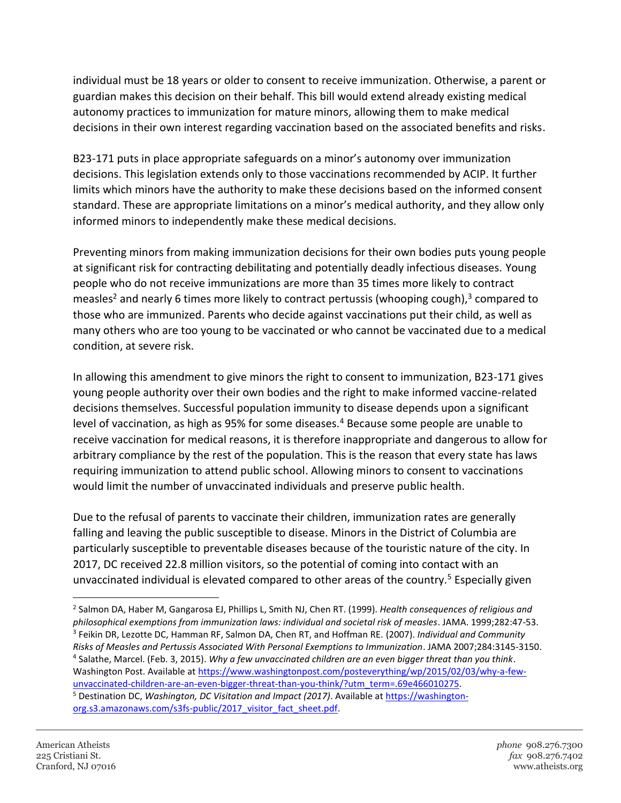individual must be 18 years or older to consent to receive immunization. Otherwise, a parent or guardian makes this decision on their behalf. This bill would extend already existing medical autonomy practices to immunization for mature minors, allowing them to make medical decisions in their own interest regarding vaccination based on the associated benefits and risks.

B23-171 puts in place appropriate safeguards on a minor's autonomy over immunization decisions. This legislation extends only to those vaccinations recommended by ACIP. It further limits which minors have the authority to make these decisions based on the informed consent standard. These are appropriate limitations on a minor's medical authority, and they allow only informed minors to independently make these medical decisions.

Preventing minors from making immunization decisions for their own bodies puts young people at significant risk for contracting debilitating and potentially deadly infectious diseases. Young people who do not receive immunizations are more than 35 times more likely to contract measles<sup>2</sup> and nearly 6 times more likely to contract pertussis (whooping cough),<sup>3</sup> compared to those who are immunized. Parents who decide against vaccinations put their child, as well as many others who are too young to be vaccinated or who cannot be vaccinated due to a medical condition, at severe risk.

In allowing this amendment to give minors the right to consent to immunization, B23-171 gives young people authority over their own bodies and the right to make informed vaccine-related decisions themselves. Successful population immunity to disease depends upon a significant level of vaccination, as high as 95% for some diseases.<sup>4</sup> Because some people are unable to receive vaccination for medical reasons, it is therefore inappropriate and dangerous to allow for arbitrary compliance by the rest of the population. This is the reason that every state has laws requiring immunization to attend public school. Allowing minors to consent to vaccinations would limit the number of unvaccinated individuals and preserve public health.

Due to the refusal of parents to vaccinate their children, immunization rates are generally falling and leaving the public susceptible to disease. Minors in the District of Columbia are particularly susceptible to preventable diseases because of the touristic nature of the city. In 2017, DC received 22.8 million visitors, so the potential of coming into contact with an unvaccinated individual is elevated compared to other areas of the country.<sup>5</sup> Especially given

 $\overline{\phantom{a}}$ 

<sup>2</sup> Salmon DA, Haber M, Gangarosa EJ, Phillips L, Smith NJ, Chen RT. (1999). *Health consequences of religious and philosophical exemptions from immunization laws: individual and societal risk of measles*. JAMA. 1999;282:47-53. 3 Feikin DR, Lezotte DC, Hamman RF, Salmon DA, Chen RT, and Hoffman RE. (2007). *Individual and Community Risks of Measles and Pertussis Associated With Personal Exemptions to Immunization*. JAMA 2007;284:3145-3150. 4 Salathe, Marcel. (Feb. 3, 2015). *Why a few unvaccinated children are an even bigger threat than you think*. Washington Post. Available at [https://www.washingtonpost.com/posteverything/wp/2015/02/03/why-a-few](https://www.washingtonpost.com/posteverything/wp/2015/02/03/why-a-few-unvaccinated-children-are-an-even-bigger-threat-than-you-think/?utm_term=.69e466010275)[unvaccinated-children-are-an-even-bigger-threat-than-you-think/?utm\\_term=.69e466010275.](https://www.washingtonpost.com/posteverything/wp/2015/02/03/why-a-few-unvaccinated-children-are-an-even-bigger-threat-than-you-think/?utm_term=.69e466010275)

<sup>5</sup> Destination DC, *Washington, DC Visitation and Impact (2017)*. Available at [https://washington](https://washington-org.s3.amazonaws.com/s3fs-public/2017_visitor_fact_sheet.pdf)[org.s3.amazonaws.com/s3fs-public/2017\\_visitor\\_fact\\_sheet.pdf.](https://washington-org.s3.amazonaws.com/s3fs-public/2017_visitor_fact_sheet.pdf)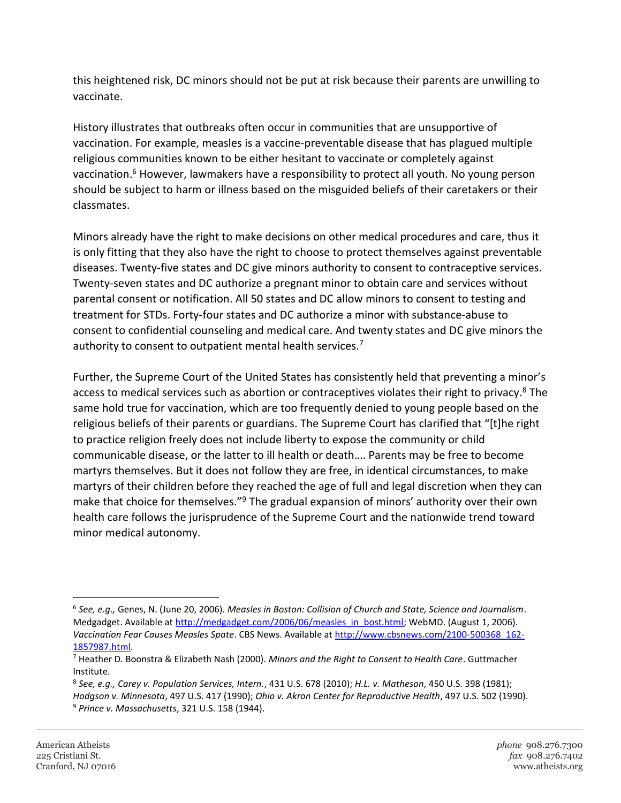this heightened risk, DC minors should not be put at risk because their parents are unwilling to vaccinate.

History illustrates that outbreaks often occur in communities that are unsupportive of vaccination. For example, measles is a vaccine-preventable disease that has plagued multiple religious communities known to be either hesitant to vaccinate or completely against vaccination.<sup>6</sup> However, lawmakers have a responsibility to protect all youth. No young person should be subject to harm or illness based on the misguided beliefs of their caretakers or their classmates.

Minors already have the right to make decisions on other medical procedures and care, thus it is only fitting that they also have the right to choose to protect themselves against preventable diseases. Twenty-five states and DC give minors authority to consent to contraceptive services. Twenty-seven states and DC authorize a pregnant minor to obtain care and services without parental consent or notification. All 50 states and DC allow minors to consent to testing and treatment for STDs. Forty-four states and DC authorize a minor with substance-abuse to consent to confidential counseling and medical care. And twenty states and DC give minors the authority to consent to outpatient mental health services.<sup>7</sup>

Further, the Supreme Court of the United States has consistently held that preventing a minor's access to medical services such as abortion or contraceptives violates their right to privacy.<sup>8</sup> The same hold true for vaccination, which are too frequently denied to young people based on the religious beliefs of their parents or guardians. The Supreme Court has clarified that "[t]he right to practice religion freely does not include liberty to expose the community or child communicable disease, or the latter to ill health or death…. Parents may be free to become martyrs themselves. But it does not follow they are free, in identical circumstances, to make martyrs of their children before they reached the age of full and legal discretion when they can make that choice for themselves."<sup>9</sup> The gradual expansion of minors' authority over their own health care follows the jurisprudence of the Supreme Court and the nationwide trend toward minor medical autonomy.

 $\overline{\phantom{a}}$ 

<sup>6</sup> *See, e.g.,* Genes, N. (June 20, 2006). *Measles in Boston: Collision of Church and State, Science and Journalism*. Medgadget. Available at [http://medgadget.com/2006/06/measles\\_in\\_bost.html;](http://medgadget.com/2006/06/measles_in_bost.html) WebMD. (August 1, 2006). *Vaccination Fear Causes Measles Spate*. CBS News. Available at [http://www.cbsnews.com/2100-500368\\_162-](http://www.cbsnews.com/2100-500368_162-%201857987.html) [1857987.html.](http://www.cbsnews.com/2100-500368_162-%201857987.html)

<sup>7</sup> Heather D. Boonstra & Elizabeth Nash (2000). *Minors and the Right to Consent to Health Care*. Guttmacher Institute.

<sup>8</sup> *See, e.g., Carey v. Population Services, Intern.*, 431 U.S. 678 (2010); *H.L. v. Matheson*, 450 U.S. 398 (1981); *Hodgson v. Minnesota*, 497 U.S. 417 (1990); *Ohio v. Akron Center for Reproductive Health*, 497 U.S. 502 (1990). <sup>9</sup> *Prince v. Massachusetts*, 321 U.S. 158 (1944).